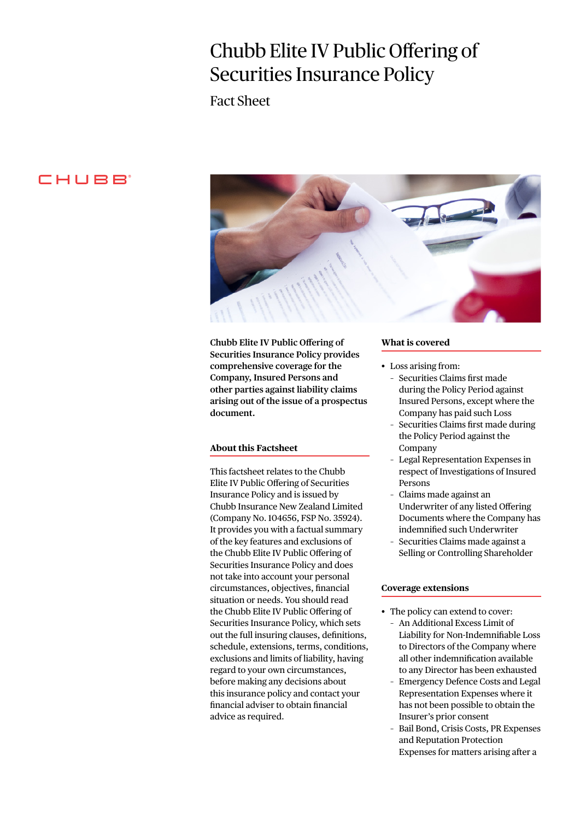# Chubb Elite IV Public Offering of Securities Insurance Policy

Fact Sheet

# CHUBB<sup>®</sup>



**Chubb Elite IV Public Offering of Securities Insurance Policy provides comprehensive coverage for the Company, Insured Persons and other parties against liability claims arising out of the issue of a prospectus document.**

# **About this Factsheet**

This factsheet relates to the Chubb Elite IV Public Offering of Securities Insurance Policy and is issued by Chubb Insurance New Zealand Limited (Company No. 104656, FSP No. 35924). It provides you with a factual summary of the key features and exclusions of the Chubb Elite IV Public Offering of Securities Insurance Policy and does not take into account your personal circumstances, objectives, financial situation or needs. You should read the Chubb Elite IV Public Offering of Securities Insurance Policy, which sets out the full insuring clauses, definitions, schedule, extensions, terms, conditions, exclusions and limits of liability, having regard to your own circumstances, before making any decisions about this insurance policy and contact your financial adviser to obtain financial advice as required.

#### **What is covered**

- Loss arising from:
	- Securities Claims first made during the Policy Period against Insured Persons, except where the Company has paid such Loss
	- Securities Claims first made during the Policy Period against the Company
	- Legal Representation Expenses in respect of Investigations of Insured Persons
	- Claims made against an Underwriter of any listed Offering Documents where the Company has indemnified such Underwriter
	- Securities Claims made against a Selling or Controlling Shareholder

#### **Coverage extensions**

- The policy can extend to cover:
	- An Additional Excess Limit of Liability for Non-Indemnifiable Loss to Directors of the Company where all other indemnification available to any Director has been exhausted
	- Emergency Defence Costs and Legal Representation Expenses where it has not been possible to obtain the Insurer's prior consent
	- Bail Bond, Crisis Costs, PR Expenses and Reputation Protection Expenses for matters arising after a